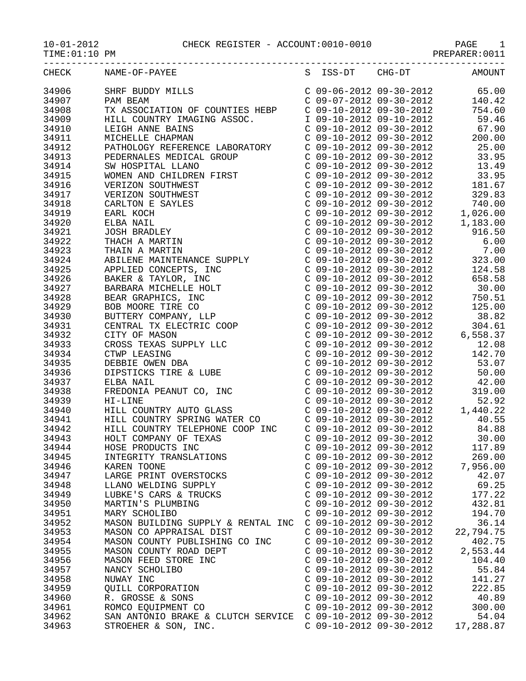| TIME: 01:10 PM |                                                                                                                                                                                                                                       |                           |                                  |
|----------------|---------------------------------------------------------------------------------------------------------------------------------------------------------------------------------------------------------------------------------------|---------------------------|----------------------------------|
| CHECK          | NAME-OF-PAYEE S ISS-DT CHG-DT                                                                                                                                                                                                         |                           | <b>AMOUNT</b>                    |
| 34906          | SHRF BUDDY MILLS<br>PAM BEAM C 09-06-2012 09-30-2012 65.00<br>TX ASSOCIATION OF COUNTIES HEBP C 09-10-2012 09-30-2012 754.60                                                                                                          |                           |                                  |
| 34907          |                                                                                                                                                                                                                                       |                           |                                  |
| 34908          |                                                                                                                                                                                                                                       |                           |                                  |
| 34909          |                                                                                                                                                                                                                                       |                           |                                  |
| 34910          |                                                                                                                                                                                                                                       |                           | $C$ 09-10-2012 09-30-2012 67.90  |
| 34911          |                                                                                                                                                                                                                                       |                           |                                  |
| 34912          |                                                                                                                                                                                                                                       |                           |                                  |
| 34913          |                                                                                                                                                                                                                                       |                           |                                  |
| 34914          |                                                                                                                                                                                                                                       |                           |                                  |
|                |                                                                                                                                                                                                                                       |                           | $C$ 09-10-2012 09-30-2012 13.49  |
| 34915          |                                                                                                                                                                                                                                       |                           |                                  |
| 34916          |                                                                                                                                                                                                                                       |                           |                                  |
| 34917          |                                                                                                                                                                                                                                       |                           |                                  |
| 34918          |                                                                                                                                                                                                                                       |                           |                                  |
| 34919          |                                                                                                                                                                                                                                       |                           |                                  |
| 34920          |                                                                                                                                                                                                                                       |                           | C 09-10-2012 09-30-2012 1,183.00 |
| 34921          |                                                                                                                                                                                                                                       |                           |                                  |
| 34922          |                                                                                                                                                                                                                                       |                           |                                  |
| 34923          |                                                                                                                                                                                                                                       |                           |                                  |
| 34924          |                                                                                                                                                                                                                                       |                           |                                  |
| 34925          |                                                                                                                                                                                                                                       |                           |                                  |
| 34926          |                                                                                                                                                                                                                                       |                           |                                  |
| 34927          |                                                                                                                                                                                                                                       |                           |                                  |
| 34928          |                                                                                                                                                                                                                                       |                           |                                  |
| 34929          |                                                                                                                                                                                                                                       |                           |                                  |
| 34930          |                                                                                                                                                                                                                                       |                           |                                  |
| 34931          |                                                                                                                                                                                                                                       |                           |                                  |
| 34932          |                                                                                                                                                                                                                                       |                           |                                  |
| 34933          |                                                                                                                                                                                                                                       |                           |                                  |
| 34934          | PAM BRAN CONTRESS (09-10-2012 09-30-2012 12,026.00<br>FILL CONTRESS TREEP (09-10-2012 09-30-2012 16-46)<br>HELL CONTRESS TREEP (09-10-2012 09-30-2012 1754.60<br>METHEM RANNS ARING ASSOC. 19-10-2012 09-30-2012 1754.60<br>METHEM RA |                           |                                  |
| 34935          |                                                                                                                                                                                                                                       |                           |                                  |
| 34936          |                                                                                                                                                                                                                                       |                           |                                  |
| 34937          |                                                                                                                                                                                                                                       |                           |                                  |
| 34938          |                                                                                                                                                                                                                                       |                           |                                  |
| 34939          |                                                                                                                                                                                                                                       |                           |                                  |
|                |                                                                                                                                                                                                                                       |                           |                                  |
| 34940          |                                                                                                                                                                                                                                       |                           |                                  |
| 34941          |                                                                                                                                                                                                                                       |                           |                                  |
| 34942          | HILL COUNTRY TELEPHONE COOP INC C 09-10-2012 09-30-2012                                                                                                                                                                               |                           | 84.88                            |
| 34943          | HOLT COMPANY OF TEXAS                                                                                                                                                                                                                 | $C$ 09-10-2012 09-30-2012 | 30.00                            |
| 34944          | HOSE PRODUCTS INC                                                                                                                                                                                                                     | $C$ 09-10-2012 09-30-2012 | 117.89                           |
| 34945          | INTEGRITY TRANSLATIONS                                                                                                                                                                                                                | $C$ 09-10-2012 09-30-2012 | 269.00                           |
| 34946          | KAREN TOONE                                                                                                                                                                                                                           | C 09-10-2012 09-30-2012   | 7,956.00                         |
| 34947          | LARGE PRINT OVERSTOCKS                                                                                                                                                                                                                | C 09-10-2012 09-30-2012   | 42.07                            |
| 34948          | LLANO WELDING SUPPLY                                                                                                                                                                                                                  | $C$ 09-10-2012 09-30-2012 | 69.25                            |
| 34949          | LUBKE'S CARS & TRUCKS                                                                                                                                                                                                                 | C 09-10-2012 09-30-2012   | 177.22                           |
| 34950          | MARTIN'S PLUMBING                                                                                                                                                                                                                     | $C$ 09-10-2012 09-30-2012 | 432.81                           |
| 34951          | MARY SCHOLIBO                                                                                                                                                                                                                         | $C$ 09-10-2012 09-30-2012 | 194.70                           |
| 34952          | MASON BUILDING SUPPLY & RENTAL INC                                                                                                                                                                                                    | C 09-10-2012 09-30-2012   | 36.14                            |
| 34953          | MASON CO APPRAISAL DIST                                                                                                                                                                                                               | C 09-10-2012 09-30-2012   | 22,794.75                        |
| 34954          | MASON COUNTY PUBLISHING CO INC                                                                                                                                                                                                        | $C$ 09-10-2012 09-30-2012 | 402.75                           |
| 34955          | MASON COUNTY ROAD DEPT                                                                                                                                                                                                                | C 09-10-2012 09-30-2012   | 2,553.44                         |
| 34956          | MASON FEED STORE INC                                                                                                                                                                                                                  | $C$ 09-10-2012 09-30-2012 | 104.40                           |
| 34957          | NANCY SCHOLIBO                                                                                                                                                                                                                        | C 09-10-2012 09-30-2012   | 55.84                            |
| 34958          | NUWAY INC                                                                                                                                                                                                                             | $C$ 09-10-2012 09-30-2012 | 141.27                           |
| 34959          | <b>QUILL CORPORATION</b>                                                                                                                                                                                                              | C 09-10-2012 09-30-2012   | 222.85                           |
| 34960          | R. GROSSE & SONS                                                                                                                                                                                                                      | C 09-10-2012 09-30-2012   | 40.89                            |
| 34961          | ROMCO EQUIPMENT CO                                                                                                                                                                                                                    | C 09-10-2012 09-30-2012   | 300.00                           |
| 34962          | SAN ANTONIO BRAKE & CLUTCH SERVICE C 09-10-2012 09-30-2012                                                                                                                                                                            |                           | 54.04                            |
|                |                                                                                                                                                                                                                                       |                           |                                  |

34963 STROEHER & SON, INC. C 09-10-2012 09-30-2012 17,288.87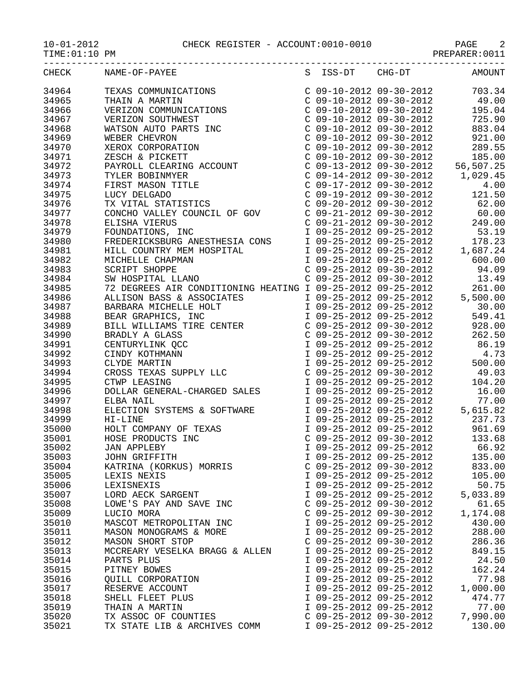10-01-2012 CHECK REGISTER - ACCOUNT:0010-0010 PAGE 2

| TIME: 01: TO PM |  |
|-----------------|--|
|-----------------|--|

| TIME: (<br>PM | PRLPARLR |
|---------------|----------|
|               |          |

| CHECK |                                                                                                                                                                                                                                                                              | S | ISS-DT                    | CHG-DT                                                                                                                                                         | AMOUNT                                                                                                                                                                                                                                                                                    |
|-------|------------------------------------------------------------------------------------------------------------------------------------------------------------------------------------------------------------------------------------------------------------------------------|---|---------------------------|----------------------------------------------------------------------------------------------------------------------------------------------------------------|-------------------------------------------------------------------------------------------------------------------------------------------------------------------------------------------------------------------------------------------------------------------------------------------|
| 34964 | NAME-OF-PAYEE<br>TEXAS COMMUNICATIONS<br>THAIN A MARTIN<br>VERIZON COMMUNICATIONS<br>VERIZON SOUTHWEST<br>WATSON AUTO PARTS INC<br>WEBER CHEVRON<br>XESCH & PICKETT<br>PAYROLL CLEARING ACCOUNT<br>TYLER BOBINMYER<br>FIRST MASON TITLE<br>LUCY DELGADO<br>TX VITA           |   |                           | C 09-10-2012 09-30-2012                                                                                                                                        | 703.34                                                                                                                                                                                                                                                                                    |
| 34965 |                                                                                                                                                                                                                                                                              |   |                           |                                                                                                                                                                | 49.00                                                                                                                                                                                                                                                                                     |
| 34966 |                                                                                                                                                                                                                                                                              |   |                           | C 09-10-2012 09-30-2012<br>C 09-10-2012 09-30-2012<br>C 09-10-2012 09-30-2012<br>C 09-10-2012 09-30-2012                                                       | 195.04                                                                                                                                                                                                                                                                                    |
| 34967 |                                                                                                                                                                                                                                                                              |   |                           |                                                                                                                                                                | 725.90                                                                                                                                                                                                                                                                                    |
| 34968 |                                                                                                                                                                                                                                                                              |   |                           |                                                                                                                                                                | 883.04                                                                                                                                                                                                                                                                                    |
| 34969 |                                                                                                                                                                                                                                                                              |   |                           |                                                                                                                                                                | $C$ 09-10-2012 09-30-2012 921.00                                                                                                                                                                                                                                                          |
| 34970 |                                                                                                                                                                                                                                                                              |   |                           |                                                                                                                                                                | C 09-10-2012 09-30-2012 289.55<br>C 09-10-2012 09-30-2012 185.00<br>C 09-13-2012 09-30-2012 56,507.25<br>C 09-14-2012 09-30-2012 1,029.45                                                                                                                                                 |
| 34971 |                                                                                                                                                                                                                                                                              |   |                           |                                                                                                                                                                |                                                                                                                                                                                                                                                                                           |
| 34972 |                                                                                                                                                                                                                                                                              |   |                           |                                                                                                                                                                |                                                                                                                                                                                                                                                                                           |
| 34973 |                                                                                                                                                                                                                                                                              |   |                           |                                                                                                                                                                |                                                                                                                                                                                                                                                                                           |
| 34974 |                                                                                                                                                                                                                                                                              |   |                           | C 09-17-2012 09-30-2012                                                                                                                                        | 4.00                                                                                                                                                                                                                                                                                      |
| 34975 |                                                                                                                                                                                                                                                                              |   |                           | C 09-19-2012 09-30-2012                                                                                                                                        | 121.50                                                                                                                                                                                                                                                                                    |
| 34976 |                                                                                                                                                                                                                                                                              |   |                           | $C$ 09-20-2012 09-30-2012                                                                                                                                      | 62.00                                                                                                                                                                                                                                                                                     |
| 34977 |                                                                                                                                                                                                                                                                              |   |                           |                                                                                                                                                                |                                                                                                                                                                                                                                                                                           |
| 34978 |                                                                                                                                                                                                                                                                              |   |                           |                                                                                                                                                                |                                                                                                                                                                                                                                                                                           |
| 34979 |                                                                                                                                                                                                                                                                              |   |                           |                                                                                                                                                                | $20 - 20 - 2012$<br>$0 - 20 - 2012$<br>$0 - 20 - 2012$<br>$0 - 20 - 2012$<br>$0 - 20 - 2012$<br>$0 - 20 - 2012$<br>$0 - 20 - 2012$<br>$0 - 2012$<br>$0 - 2012$<br>$0 - 2012$<br>$0 - 2012$<br>$0 - 2012$<br>$0 - 2012$<br>$0 - 2012$<br>$0 - 2012$<br>$0 - 2012$<br>$0 - 2012$<br>$0 - 2$ |
| 34980 | FREDERICKSBURG ANESTHESIA CONS                                                                                                                                                                                                                                               |   |                           |                                                                                                                                                                |                                                                                                                                                                                                                                                                                           |
| 34981 |                                                                                                                                                                                                                                                                              |   |                           |                                                                                                                                                                |                                                                                                                                                                                                                                                                                           |
| 34982 |                                                                                                                                                                                                                                                                              |   |                           |                                                                                                                                                                |                                                                                                                                                                                                                                                                                           |
| 34983 | HILL COUNTRY MEM HOSPITAL<br>MICHELLE CHAPMAN<br>SCRIPT SHOPPE<br>SW HOSPITAL LLANO                                                                                                                                                                                          |   |                           |                                                                                                                                                                | 1 09-25-2012 09-25-2012 600.00<br>C 09-25-2012 09-30-2012 94.09<br>C 09-25-2012 09-30-2012 13.49                                                                                                                                                                                          |
| 34984 |                                                                                                                                                                                                                                                                              |   |                           |                                                                                                                                                                |                                                                                                                                                                                                                                                                                           |
| 34985 |                                                                                                                                                                                                                                                                              |   |                           |                                                                                                                                                                |                                                                                                                                                                                                                                                                                           |
| 34986 | 72 DEGREES AIR CONDITIONING HEATING I 09-25-2012 09-25-2012 261.00<br>ALLISON BASS & ASSOCIATES 1 09-25-2012 09-25-2012 5,500.00                                                                                                                                             |   |                           |                                                                                                                                                                |                                                                                                                                                                                                                                                                                           |
| 34987 |                                                                                                                                                                                                                                                                              |   |                           |                                                                                                                                                                |                                                                                                                                                                                                                                                                                           |
| 34988 |                                                                                                                                                                                                                                                                              |   |                           |                                                                                                                                                                |                                                                                                                                                                                                                                                                                           |
| 34989 |                                                                                                                                                                                                                                                                              |   |                           |                                                                                                                                                                |                                                                                                                                                                                                                                                                                           |
| 34990 |                                                                                                                                                                                                                                                                              |   |                           |                                                                                                                                                                | 1 09-25-2012 09-25-2012 30.00<br>1 09-25-2012 09-25-2012 549.41<br>C 09-25-2012 09-30-2012 928.00<br>C 09-25-2012 09-30-2012 262.50                                                                                                                                                       |
| 34991 |                                                                                                                                                                                                                                                                              |   |                           |                                                                                                                                                                | I 09-25-2012 09-25-2012 86.19                                                                                                                                                                                                                                                             |
| 34992 |                                                                                                                                                                                                                                                                              |   |                           | I 09-25-2012 09-25-2012                                                                                                                                        | 4.73                                                                                                                                                                                                                                                                                      |
| 34993 |                                                                                                                                                                                                                                                                              |   |                           |                                                                                                                                                                |                                                                                                                                                                                                                                                                                           |
| 34994 |                                                                                                                                                                                                                                                                              |   |                           | I 09-25-2012 09-25-2012<br>C 09-25-2012 09-30-2012                                                                                                             | $4.75$<br>500.00<br>49.03                                                                                                                                                                                                                                                                 |
| 34995 | THE DESKEES AIR CONDITIONING HEATING<br>ALLISON BASS & ASSOCIATES<br>BARBARA MICHELLE HOLT<br>BEAR GRAPHICS, INC<br>BILL WILLIAMS TIRE CENTER<br>BRADLY A GLASS<br>CENTURYLINK QCC<br>CINDY KOTHMANN<br>CLYDE MARTIN<br>CROSS TEXAS SUPPLY LLC<br>CTWP LEASI<br>CTWP LEASING |   |                           | $109-25-201209-25-2012$                                                                                                                                        | 104.20                                                                                                                                                                                                                                                                                    |
| 34996 | DOLLAR GENERAL-CHARGED SALES                                                                                                                                                                                                                                                 |   |                           | I 09-25-2012 09-25-2012                                                                                                                                        | 16.00                                                                                                                                                                                                                                                                                     |
| 34997 | ELBA NAIL                                                                                                                                                                                                                                                                    |   |                           | 1 09-25-2012 09-25-2012<br>1 09-25-2012 09-25-2012<br>1 09-25-2012 09-25-2012<br>1 09-25-2012 09-25-2012<br>1 09-25-2012 09-25-2012<br>C 09-25-2012 09-30-2012 | 77.00                                                                                                                                                                                                                                                                                     |
| 34998 | ELECTION SYSTEMS & SOFTWARE                                                                                                                                                                                                                                                  |   |                           |                                                                                                                                                                | 5,615.82                                                                                                                                                                                                                                                                                  |
| 34999 | HI-LINE<br>HI-LINE<br>HOLT COMPANY OF TEXAS<br>HOSE PRODUCTS INC<br>JAN APPLEBY                                                                                                                                                                                              |   |                           |                                                                                                                                                                | 237.73                                                                                                                                                                                                                                                                                    |
| 35000 |                                                                                                                                                                                                                                                                              |   |                           |                                                                                                                                                                | 961.69                                                                                                                                                                                                                                                                                    |
| 35001 |                                                                                                                                                                                                                                                                              |   |                           |                                                                                                                                                                | 133.68                                                                                                                                                                                                                                                                                    |
| 35002 |                                                                                                                                                                                                                                                                              |   |                           | I 09-25-2012 09-25-2012                                                                                                                                        | 66.92                                                                                                                                                                                                                                                                                     |
| 35003 | JOHN GRIFFITH                                                                                                                                                                                                                                                                |   |                           | I 09-25-2012 09-25-2012                                                                                                                                        | 135.00                                                                                                                                                                                                                                                                                    |
| 35004 | KATRINA (KORKUS) MORRIS                                                                                                                                                                                                                                                      |   | $C$ 09-25-2012 09-30-2012 |                                                                                                                                                                | 833.00                                                                                                                                                                                                                                                                                    |
| 35005 | LEXIS NEXIS                                                                                                                                                                                                                                                                  |   | I 09-25-2012 09-25-2012   |                                                                                                                                                                | 105.00                                                                                                                                                                                                                                                                                    |
| 35006 | LEXISNEXIS                                                                                                                                                                                                                                                                   |   | I 09-25-2012 09-25-2012   |                                                                                                                                                                | 50.75                                                                                                                                                                                                                                                                                     |
| 35007 | LORD AECK SARGENT                                                                                                                                                                                                                                                            |   | I 09-25-2012 09-25-2012   |                                                                                                                                                                | 5,033.89                                                                                                                                                                                                                                                                                  |
| 35008 | LOWE'S PAY AND SAVE INC                                                                                                                                                                                                                                                      |   | $C$ 09-25-2012 09-30-2012 |                                                                                                                                                                | 61.65                                                                                                                                                                                                                                                                                     |
| 35009 | LUCIO MORA                                                                                                                                                                                                                                                                   |   | $C$ 09-25-2012 09-30-2012 |                                                                                                                                                                | 1,174.08                                                                                                                                                                                                                                                                                  |
| 35010 | MASCOT METROPOLITAN INC                                                                                                                                                                                                                                                      |   | I 09-25-2012 09-25-2012   |                                                                                                                                                                | 430.00                                                                                                                                                                                                                                                                                    |
| 35011 | MASON MONOGRAMS & MORE                                                                                                                                                                                                                                                       |   | I 09-25-2012 09-25-2012   |                                                                                                                                                                | 288.00                                                                                                                                                                                                                                                                                    |
| 35012 | MASON SHORT STOP                                                                                                                                                                                                                                                             |   | $C$ 09-25-2012 09-30-2012 |                                                                                                                                                                | 286.36                                                                                                                                                                                                                                                                                    |
| 35013 | MCCREARY VESELKA BRAGG & ALLEN                                                                                                                                                                                                                                               |   | I 09-25-2012 09-25-2012   |                                                                                                                                                                | 849.15                                                                                                                                                                                                                                                                                    |
| 35014 | PARTS PLUS                                                                                                                                                                                                                                                                   |   | I 09-25-2012 09-25-2012   |                                                                                                                                                                | 24.50                                                                                                                                                                                                                                                                                     |
| 35015 | PITNEY BOWES                                                                                                                                                                                                                                                                 |   | I 09-25-2012 09-25-2012   |                                                                                                                                                                | 162.24                                                                                                                                                                                                                                                                                    |
| 35016 | QUILL CORPORATION                                                                                                                                                                                                                                                            |   | I 09-25-2012 09-25-2012   |                                                                                                                                                                | 77.98                                                                                                                                                                                                                                                                                     |
| 35017 | RESERVE ACCOUNT                                                                                                                                                                                                                                                              |   | I 09-25-2012 09-25-2012   |                                                                                                                                                                | 1,000.00                                                                                                                                                                                                                                                                                  |
| 35018 | SHELL FLEET PLUS                                                                                                                                                                                                                                                             |   | I 09-25-2012 09-25-2012   |                                                                                                                                                                | 474.77                                                                                                                                                                                                                                                                                    |
| 35019 | THAIN A MARTIN                                                                                                                                                                                                                                                               |   | I 09-25-2012 09-25-2012   |                                                                                                                                                                | 77.00                                                                                                                                                                                                                                                                                     |
| 35020 | TX ASSOC OF COUNTIES                                                                                                                                                                                                                                                         |   | $C$ 09-25-2012 09-30-2012 |                                                                                                                                                                | 7,990.00                                                                                                                                                                                                                                                                                  |
| 35021 | TX STATE LIB & ARCHIVES COMM                                                                                                                                                                                                                                                 |   | I 09-25-2012 09-25-2012   |                                                                                                                                                                | 130.00                                                                                                                                                                                                                                                                                    |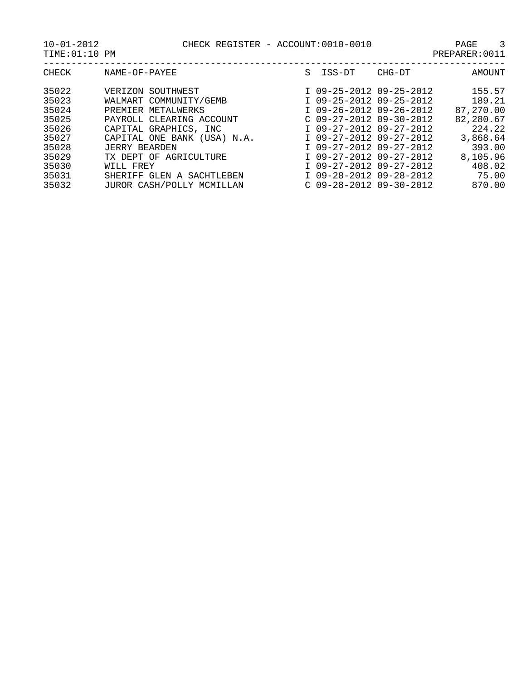| CHECK | NAME-OF-PAYEE               | S. | ISS-DT                    | CHG-DT | AMOUNT    |
|-------|-----------------------------|----|---------------------------|--------|-----------|
| 35022 | VERIZON SOUTHWEST           |    | I 09-25-2012 09-25-2012   |        | 155.57    |
| 35023 | WALMART COMMUNITY/GEMB      |    | I 09-25-2012 09-25-2012   |        | 189.21    |
| 35024 | PREMIER METALWERKS          |    | I 09-26-2012 09-26-2012   |        | 87,270.00 |
| 35025 | PAYROLL CLEARING ACCOUNT    |    | $C$ 09-27-2012 09-30-2012 |        | 82,280.67 |
| 35026 | CAPITAL GRAPHICS, INC       |    | I 09-27-2012 09-27-2012   |        | 224.22    |
| 35027 | CAPITAL ONE BANK (USA) N.A. |    | I 09-27-2012 09-27-2012   |        | 3,868.64  |
| 35028 | <b>JERRY BEARDEN</b>        |    | I 09-27-2012 09-27-2012   |        | 393.00    |
| 35029 | TX DEPT OF AGRICULTURE      |    | I 09-27-2012 09-27-2012   |        | 8,105.96  |
| 35030 | WILL FREY                   |    | I 09-27-2012 09-27-2012   |        | 408.02    |
| 35031 | SHERIFF GLEN A SACHTLEBEN   |    | I 09-28-2012 09-28-2012   |        | 75.00     |
| 35032 | JUROR CASH/POLLY MCMILLAN   |    | $C$ 09-28-2012 09-30-2012 |        | 870.00    |
|       |                             |    |                           |        |           |